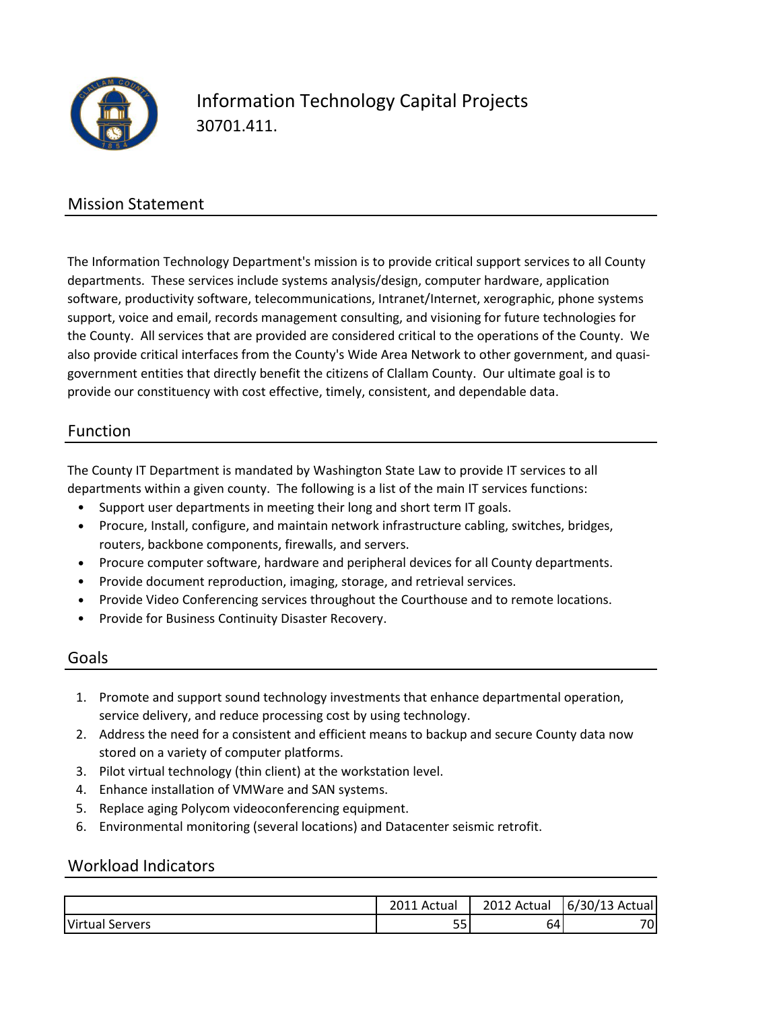

# Information Technology Capital Projects 30701.411.

### Mission Statement

The Information Technology Department's mission is to provide critical support services to all County departments. These services include systems analysis/design, computer hardware, application software, productivity software, telecommunications, Intranet/Internet, xerographic, phone systems support, voice and email, records management consulting, and visioning for future technologies for the County. All services that are provided are considered critical to the operations of the County. We also provide critical interfaces from the County's Wide Area Network to other government, and quasigovernment entities that directly benefit the citizens of Clallam County. Our ultimate goal is to provide our constituency with cost effective, timely, consistent, and dependable data.

#### Function

The County IT Department is mandated by Washington State Law to provide IT services to all departments within a given county. The following is a list of the main IT services functions:

- Support user departments in meeting their long and short term IT goals.
- Procure, Install, configure, and maintain network infrastructure cabling, switches, bridges, routers, backbone components, firewalls, and servers.
- Procure computer software, hardware and peripheral devices for all County departments.
- Provide document reproduction, imaging, storage, and retrieval services.
- Provide Video Conferencing services throughout the Courthouse and to remote locations.
- Provide for Business Continuity Disaster Recovery.

#### Goals

- 1. Promote and support sound technology investments that enhance departmental operation, service delivery, and reduce processing cost by using technology.
- 2. Address the need for a consistent and efficient means to backup and secure County data now stored on a variety of computer platforms.
- 3. Pilot virtual technology (thin client) at the workstation level.
- 4. Enhance installation of VMWare and SAN systems.
- 5. Replace aging Polycom videoconferencing equipment.
- 6. Environmental monitoring (several locations) and Datacenter seismic retrofit.

#### Workload Indicators

|                    | $\mathbf{a}$<br>Actua | 2012<br>' Actual | $c\ln$<br>Actual<br>/13<br>3U/<br>b/ |
|--------------------|-----------------------|------------------|--------------------------------------|
| Virtual<br>Servers | e e<br>ັ              | 64I              | 70 <sub>1</sub>                      |